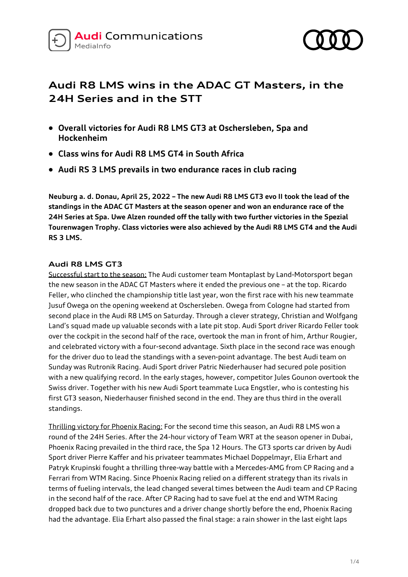



# **Audi R8 LMS wins in the ADAC GT Masters, in the 24H Series and in the STT**

- **Overall victories for Audi R8 LMS GT3 at Oschersleben, Spa and Hockenheim**
- **Class wins for Audi R8 LMS GT4 in South Africa**
- **Audi RS 3 LMS prevails in two endurance races in club racing**

**Neuburg a. d. Donau, April 25, 2022 – The new Audi R8 LMS GT3 evo II took the lead of the standings in the ADAC GT Masters at the season opener and won an endurance race of the 24H Series at Spa. Uwe Alzen rounded off the tally with two further victories in the Spezial Tourenwagen Trophy. Class victories were also achieved by the Audi R8 LMS GT4 and the Audi RS 3 LMS.**

## **Audi R8 LMS GT3**

Successful start to the season: The Audi customer team Montaplast by Land-Motorsport began the new season in the ADAC GT Masters where it ended the previous one – at the top. Ricardo Feller, who clinched the championship title last year, won the first race with his new teammate Jusuf Owega on the opening weekend at Oschersleben. Owega from Cologne had started from second place in the Audi R8 LMS on Saturday. Through a clever strategy, Christian and Wolfgang Land's squad made up valuable seconds with a late pit stop. Audi Sport driver Ricardo Feller took over the cockpit in the second half of the race, overtook the man in front of him, Arthur Rougier, and celebrated victory with a four-second advantage. Sixth place in the second race was enough for the driver duo to lead the standings with a seven-point advantage. The best Audi team on Sunday was Rutronik Racing. Audi Sport driver Patric Niederhauser had secured pole position with a new qualifying record. In the early stages, however, competitor Jules Gounon overtook the Swiss driver. Together with his new Audi Sport teammate Luca Engstler, who is contesting his first GT3 season, Niederhauser finished second in the end. They are thus third in the overall standings.

Thrilling victory for Phoenix Racing: For the second time this season, an Audi R8 LMS won a round of the 24H Series. After the 24-hour victory of Team WRT at the season opener in Dubai, Phoenix Racing prevailed in the third race, the Spa 12 Hours. The GT3 sports car driven by Audi Sport driver Pierre Kaffer and his privateer teammates Michael Doppelmayr, Elia Erhart and Patryk Krupinski fought a thrilling three-way battle with a Mercedes-AMG from CP Racing and a Ferrari from WTM Racing. Since Phoenix Racing relied on a different strategy than its rivals in terms of fueling intervals, the lead changed several times between the Audi team and CP Racing in the second half of the race. After CP Racing had to save fuel at the end and WTM Racing dropped back due to two punctures and a driver change shortly before the end, Phoenix Racing had the advantage. Elia Erhart also passed the final stage: a rain shower in the last eight laps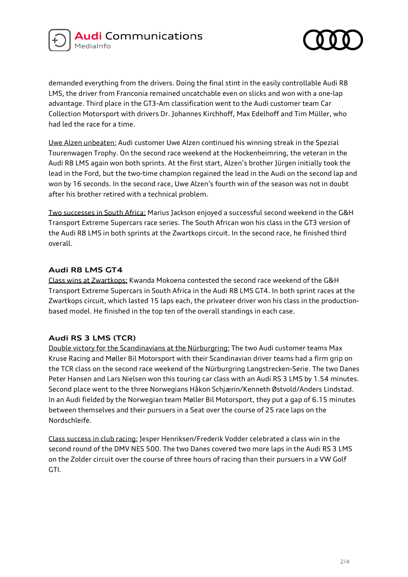



demanded everything from the drivers. Doing the final stint in the easily controllable Audi R8 LMS, the driver from Franconia remained uncatchable even on slicks and won with a one-lap advantage. Third place in the GT3-Am classification went to the Audi customer team Car Collection Motorsport with drivers Dr. Johannes Kirchhoff, Max Edelhoff and Tim Müller, who had led the race for a time.

Uwe Alzen unbeaten: Audi customer Uwe Alzen continued his winning streak in the Spezial Tourenwagen Trophy. On the second race weekend at the Hockenheimring, the veteran in the Audi R8 LMS again won both sprints. At the first start, Alzen's brother Jürgen initially took the lead in the Ford, but the two-time champion regained the lead in the Audi on the second lap and won by 16 seconds. In the second race, Uwe Alzen's fourth win of the season was not in doubt after his brother retired with a technical problem.

Two successes in South Africa: Marius Jackson enjoyed a successful second weekend in the G&H Transport Extreme Supercars race series. The South African won his class in the GT3 version of the Audi R8 LMS in both sprints at the Zwartkops circuit. In the second race, he finished third overall.

## **Audi R8 LMS GT4**

Class wins at Zwartkops: Kwanda Mokoena contested the second race weekend of the G&H Transport Extreme Supercars in South Africa in the Audi R8 LMS GT4. In both sprint races at the Zwartkops circuit, which lasted 15 laps each, the privateer driver won his class in the productionbased model. He finished in the top ten of the overall standings in each case.

#### **Audi RS 3 LMS (TCR)**

Double victory for the Scandinavians at the Nürburgring: The two Audi customer teams Max Kruse Racing and Møller Bil Motorsport with their Scandinavian driver teams had a firm grip on the TCR class on the second race weekend of the Nürburgring Langstrecken-Serie. The two Danes Peter Hansen and Lars Nielsen won this touring car class with an Audi RS 3 LMS by 1.54 minutes. Second place went to the three Norwegians Håkon Schjærin/Kenneth Østvold/Anders Lindstad. In an Audi fielded by the Norwegian team Møller Bil Motorsport, they put a gap of 6.15 minutes between themselves and their pursuers in a Seat over the course of 25 race laps on the Nordschleife.

Class success in club racing: Jesper Henriksen/Frederik Vodder celebrated a class win in the second round of the DMV NES 500. The two Danes covered two more laps in the Audi RS 3 LMS on the Zolder circuit over the course of three hours of racing than their pursuers in a VW Golf GTI.